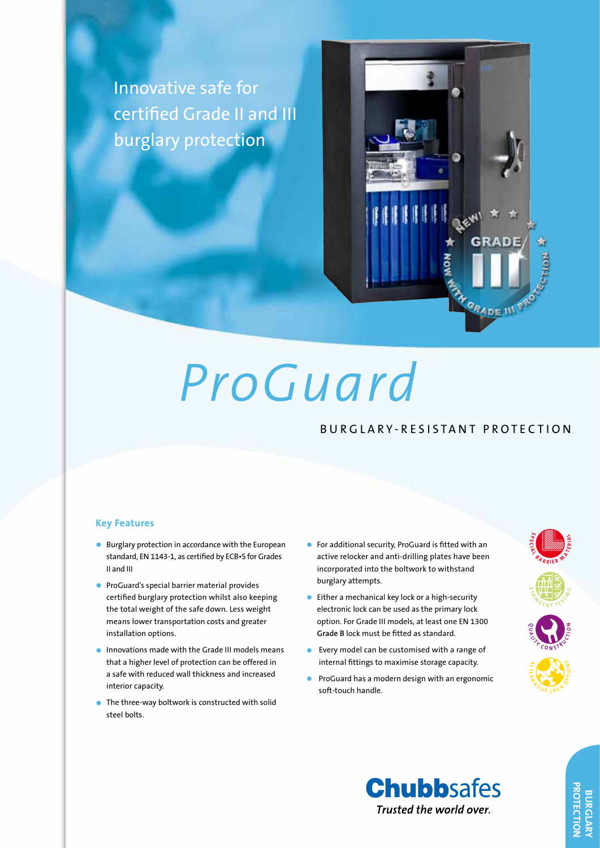Innovative safe for certified Grade II and III burglary protection



# *ProGuard*

# BURGLARY-RESISTANT PROTECTION

### **Key Features**

- Burglary protection in accordance with the European standard, EN 1143-1, as certified by ECB•S for Grades II and III
- **•** ProGuard's special barrier material provides certified burglary protection whilst also keeping the total weight of the safe down. Less weight means lower transportation costs and greater installation options.
- **•** Innovations made with the Grade III models means that a higher level of protection can be offered in a safe with reduced wall thickness and increased interior capacity.
- $\bullet$  The three-way boltwork is constructed with solid steel bolts.
- • For additional security, ProGuard is fitted with an active relocker and anti-drilling plates have been incorporated into the boltwork to withstand burglary attempts.
- Either a mechanical key lock or a high-security electronic lock can be used as the primary lock option. For Grade III models, at least one EN 1300 **Grade B** lock must be fitted as standard.
- $\bullet$  Every model can be customised with a range of internal fittings to maximise storage capacity.
- ProGuard has a modern design with an ergonomic soft-touch handle.